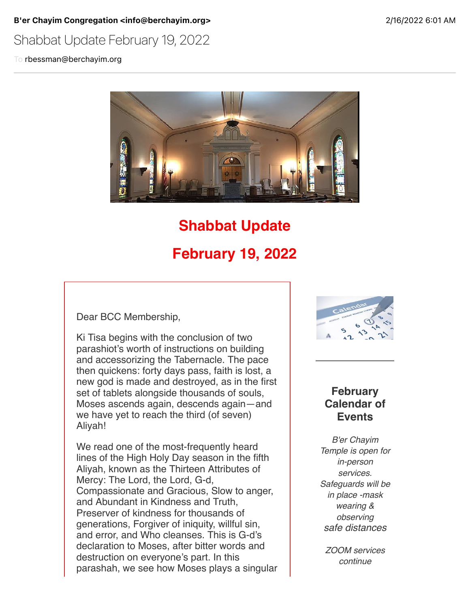#### B'er Chayim Congregation <info@berchayim.org> 2/16/2022 6:01 AM

# Shabbat Update February 19, 2022

To rbessman@berchayim.org



# **Shabbat Update February 19, 2022**

Dear BCC Membership,

Ki Tisa begins with the conclusion of two parashiot's worth of instructions on building and accessorizing the Tabernacle. The pace then quickens: forty days pass, faith is lost, a new god is made and destroyed, as in the first set of tablets alongside thousands of souls, Moses ascends again, descends again—and we have yet to reach the third (of seven) Aliyah!

We read one of the most-frequently heard lines of the High Holy Day season in the fifth Aliyah, known as the Thirteen Attributes of Mercy: The Lord, the Lord, G-d, Compassionate and Gracious, Slow to anger, and Abundant in Kindness and Truth, Preserver of kindness for thousands of generations, Forgiver of iniquity, willful sin, and error, and Who cleanses. This is G-d's declaration to Moses, after bitter words and destruction on everyone's part. In this parashah, we see how Moses plays a singular



### **February Calendar of Events**

*B'er Chayim Temple is open for in-person services. Safeguards will be in place -mask wearing & observing safe distances*

*ZOOM services continue*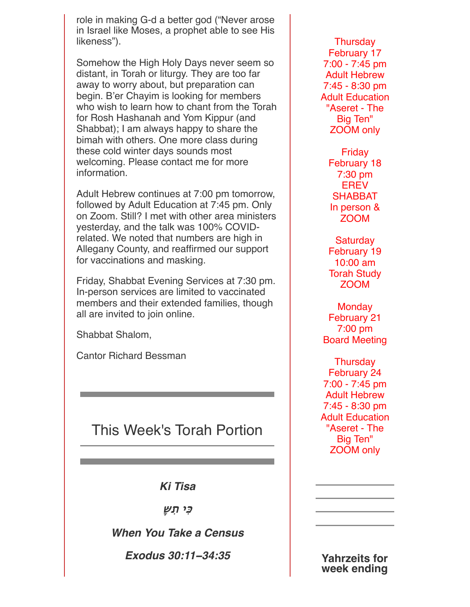role in making G-d a better god ("Never arose in Israel like Moses, a prophet able to see His likeness").

Somehow the High Holy Days never seem so distant, in Torah or liturgy. They are too far away to worry about, but preparation can begin. B'er Chayim is looking for members who wish to learn how to chant from the Torah for Rosh Hashanah and Yom Kippur (and Shabbat); I am always happy to share the bimah with others. One more class during these cold winter days sounds most welcoming. Please contact me for more information.

Adult Hebrew continues at 7:00 pm tomorrow, followed by Adult Education at 7:45 pm. Only on Zoom. Still? I met with other area ministers yesterday, and the talk was 100% COVIDrelated. We noted that numbers are high in Allegany County, and reaffirmed our support for vaccinations and masking.

Friday, Shabbat Evening Services at 7:30 pm. In-person services are limited to vaccinated members and their extended families, though all are invited to join online.

Shabbat Shalom,

Cantor Richard Bessman

# This Week's Torah Portion

*Ki Tisa*

**'ִי תִ"ָ**

*When You Take a Census*

*Exodus 30:11***−***34:35*

**Thursday** February 17 7:00 - 7:45 pm Adult Hebrew 7:45 - 8:30 pm Adult Education "Aseret - The Big Ten" ZOOM only

Friday February 18 7:30 pm **EREV SHABBAT** In person & ZOOM

**Saturday** February 19 10:00 am Torah Study ZOOM

**Monday** February 21 7:00 pm Board Meeting

**Thursday** February 24 7:00 - 7:45 pm Adult Hebrew 7:45 - 8:30 pm Adult Education "Aseret - The Big Ten" ZOOM only

**Yahrzeits for week ending**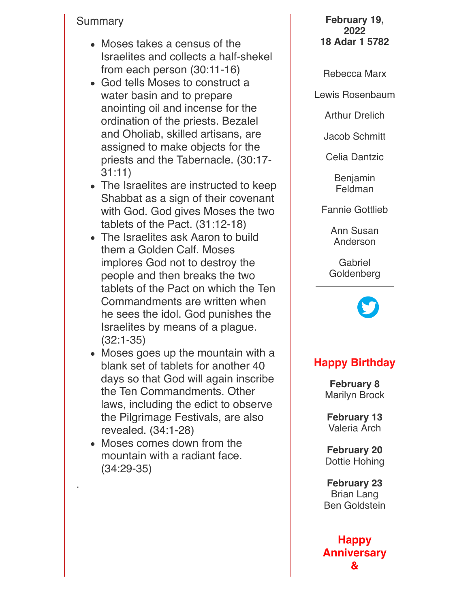#### Summary

- Moses takes a census of the Israelites and collects a half-shekel from each person (30:11-16)
- God tells Moses to construct a water basin and to prepare anointing oil and incense for the ordination of the priests. Bezalel and Oholiab, skilled artisans, are assigned to make objects for the priests and the Tabernacle. (30:17- 31:11)
- The Israelites are instructed to keep Shabbat as a sign of their covenant with God. God gives Moses the two tablets of the Pact. (31:12-18)
- The Israelites ask Aaron to build them a Golden Calf. Moses implores God not to destroy the people and then breaks the two tablets of the Pact on which the Ten Commandments are written when he sees the idol. God punishes the Israelites by means of a plague. (32:1-35)
- Moses goes up the mountain with a blank set of tablets for another 40 days so that God will again inscribe the Ten Commandments. Other laws, including the edict to observe the Pilgrimage Festivals, are also revealed. (34:1-28)
- Moses comes down from the mountain with a radiant face. (34:29-35)

**February 19, 2022 18 Adar 1 5782**

Rebecca Marx

Lewis Rosenbaum

Arthur Drelich

Jacob Schmitt

Celia Dantzic

Benjamin Feldman

Fannie Gottlieb

Ann Susan Anderson

Gabriel **Goldenberg** 



## **Happy Birthday**

**February 8** Marilyn Brock

**February 13** Valeria Arch

**February 20** Dottie Hohing

**February 23** Brian Lang Ben Goldstein

**Happy Anniversary &**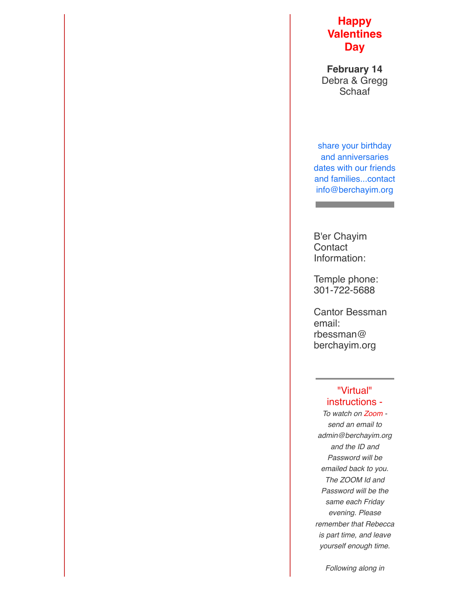#### **Happy Valentines Day**

**February 14** Debra & Gregg **Schaaf** 

share your birthday and anniversaries dates with our friends and families...contact info@berchayim.org

B'er Chayim **Contact** Information:

Temple phone: 301-722-5688

Cantor Bessman email: rbessman@ berchayim.org

#### "Virtual" instructions -

*To watch on Zoom send an email to admin@berchayim.org and the ID and Password will be emailed back to you. The ZOOM Id and Password will be the same each Friday evening. Please remember that Rebecca is part time, and leave yourself enough time.*

*Following along in*